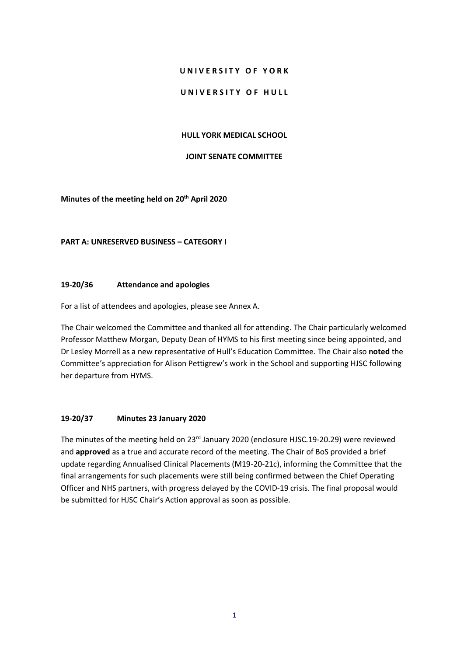#### **U N I V E R S I T Y O F Y O R K**

#### UNIVERSITY OF HULL

#### **HULL YORK MEDICAL SCHOOL**

# **JOINT SENATE COMMITTEE**

**Minutes of the meeting held on 20 th April 2020**

### **PART A: UNRESERVED BUSINESS – CATEGORY I**

### **19-20/36 Attendance and apologies**

For a list of attendees and apologies, please see Annex A.

The Chair welcomed the Committee and thanked all for attending. The Chair particularly welcomed Professor Matthew Morgan, Deputy Dean of HYMS to his first meeting since being appointed, and Dr Lesley Morrell as a new representative of Hull's Education Committee. The Chair also **noted** the Committee's appreciation for Alison Pettigrew's work in the School and supporting HJSC following her departure from HYMS.

# **19-20/37 Minutes 23 January 2020**

The minutes of the meeting held on 23<sup>rd</sup> January 2020 (enclosure HJSC.19-20.29) were reviewed and **approved** as a true and accurate record of the meeting. The Chair of BoS provided a brief update regarding Annualised Clinical Placements (M19-20-21c), informing the Committee that the final arrangements for such placements were still being confirmed between the Chief Operating Officer and NHS partners, with progress delayed by the COVID-19 crisis. The final proposal would be submitted for HJSC Chair's Action approval as soon as possible.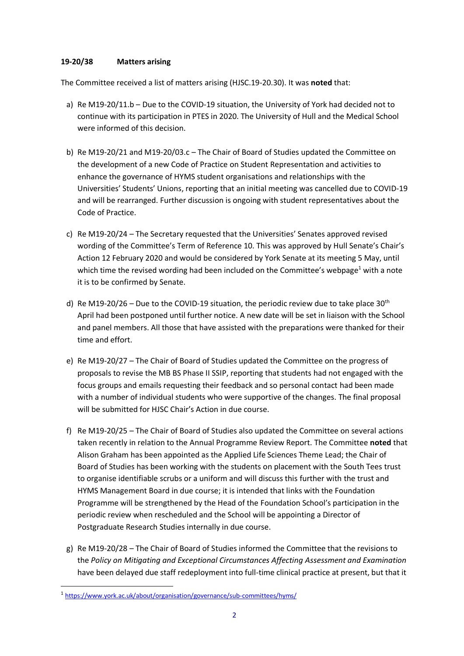#### **19-20/38 Matters arising**

The Committee received a list of matters arising (HJSC.19-20.30). It was **noted** that:

- a) Re M19-20/11.b Due to the COVID-19 situation, the University of York had decided not to continue with its participation in PTES in 2020. The University of Hull and the Medical School were informed of this decision.
- b) Re M19-20/21 and M19-20/03.c The Chair of Board of Studies updated the Committee on the development of a new Code of Practice on Student Representation and activities to enhance the governance of HYMS student organisations and relationships with the Universities' Students' Unions, reporting that an initial meeting was cancelled due to COVID-19 and will be rearranged. Further discussion is ongoing with student representatives about the Code of Practice.
- c) Re M19-20/24 The Secretary requested that the Universities' Senates approved revised wording of the Committee's Term of Reference 10. This was approved by Hull Senate's Chair's Action 12 February 2020 and would be considered by York Senate at its meeting 5 May, until which time the revised wording had been included on the Committee's webpage<sup>1</sup> with a note it is to be confirmed by Senate.
- d) Re M19-20/26 Due to the COVID-19 situation, the periodic review due to take place 30<sup>th</sup> April had been postponed until further notice. A new date will be set in liaison with the School and panel members. All those that have assisted with the preparations were thanked for their time and effort.
- e) Re M19-20/27 The Chair of Board of Studies updated the Committee on the progress of proposals to revise the MB BS Phase II SSIP, reporting that students had not engaged with the focus groups and emails requesting their feedback and so personal contact had been made with a number of individual students who were supportive of the changes. The final proposal will be submitted for HJSC Chair's Action in due course.
- f) Re M19-20/25 The Chair of Board of Studies also updated the Committee on several actions taken recently in relation to the Annual Programme Review Report. The Committee **noted** that Alison Graham has been appointed as the Applied Life Sciences Theme Lead; the Chair of Board of Studies has been working with the students on placement with the South Tees trust to organise identifiable scrubs or a uniform and will discuss this further with the trust and HYMS Management Board in due course; it is intended that links with the Foundation Programme will be strengthened by the Head of the Foundation School's participation in the periodic review when rescheduled and the School will be appointing a Director of Postgraduate Research Studies internally in due course.
- g) Re M19-20/28 The Chair of Board of Studies informed the Committee that the revisions to the *Policy on Mitigating and Exceptional Circumstances Affecting Assessment and Examination* have been delayed due staff redeployment into full-time clinical practice at present, but that it

<u>.</u>

<sup>&</sup>lt;sup>1</sup> <https://www.york.ac.uk/about/organisation/governance/sub-committees/hyms/>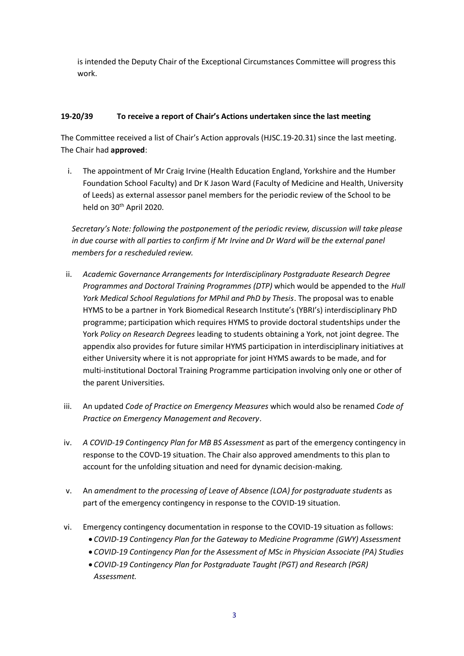is intended the Deputy Chair of the Exceptional Circumstances Committee will progress this work.

# **19-20/39 To receive a report of Chair's Actions undertaken since the last meeting**

The Committee received a list of Chair's Action approvals (HJSC.19-20.31) since the last meeting. The Chair had **approved**:

i. The appointment of Mr Craig Irvine (Health Education England, Yorkshire and the Humber Foundation School Faculty) and Dr K Jason Ward (Faculty of Medicine and Health, University of Leeds) as external assessor panel members for the periodic review of the School to be held on 30<sup>th</sup> April 2020.

*Secretary's Note: following the postponement of the periodic review, discussion will take please in due course with all parties to confirm if Mr Irvine and Dr Ward will be the external panel members for a rescheduled review.*

- ii. *Academic Governance Arrangements for Interdisciplinary Postgraduate Research Degree Programmes and Doctoral Training Programmes (DTP)* which would be appended to the *Hull York Medical School Regulations for MPhil and PhD by Thesis*. The proposal was to enable HYMS to be a partner in York Biomedical Research Institute's (YBRI's) interdisciplinary PhD programme; participation which requires HYMS to provide doctoral studentships under the York *Policy on Research Degrees* leading to students obtaining a York, not joint degree. The appendix also provides for future similar HYMS participation in interdisciplinary initiatives at either University where it is not appropriate for joint HYMS awards to be made, and for multi-institutional Doctoral Training Programme participation involving only one or other of the parent Universities.
- iii. An updated *Code of Practice on Emergency Measures* which would also be renamed *Code of Practice on Emergency Management and Recovery*.
- iv. *A COVID-19 Contingency Plan for MB BS Assessment* as part of the emergency contingency in response to the COVD-19 situation. The Chair also approved amendments to this plan to account for the unfolding situation and need for dynamic decision-making.
- v. An *amendment to the processing of Leave of Absence (LOA) for postgraduate students* as part of the emergency contingency in response to the COVID-19 situation.
- vi. Emergency contingency documentation in response to the COVID-19 situation as follows:
	- *COVID-19 Contingency Plan for the Gateway to Medicine Programme (GWY) Assessment*
	- *COVID-19 Contingency Plan for the Assessment of MSc in Physician Associate (PA) Studies*
	- *COVID-19 Contingency Plan for Postgraduate Taught (PGT) and Research (PGR) Assessment.*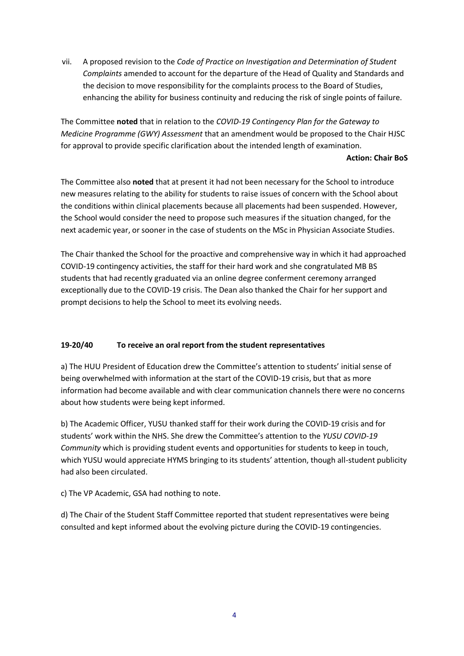vii. A proposed revision to the *Code of Practice on Investigation and Determination of Student Complaints* amended to account for the departure of the Head of Quality and Standards and the decision to move responsibility for the complaints process to the Board of Studies, enhancing the ability for business continuity and reducing the risk of single points of failure.

The Committee **noted** that in relation to the *COVID-19 Contingency Plan for the Gateway to Medicine Programme (GWY) Assessment* that an amendment would be proposed to the Chair HJSC for approval to provide specific clarification about the intended length of examination.

### **Action: Chair BoS**

The Committee also **noted** that at present it had not been necessary for the School to introduce new measures relating to the ability for students to raise issues of concern with the School about the conditions within clinical placements because all placements had been suspended. However, the School would consider the need to propose such measures if the situation changed, for the next academic year, or sooner in the case of students on the MSc in Physician Associate Studies.

The Chair thanked the School for the proactive and comprehensive way in which it had approached COVID-19 contingency activities, the staff for their hard work and she congratulated MB BS students that had recently graduated via an online degree conferment ceremony arranged exceptionally due to the COVID-19 crisis. The Dean also thanked the Chair for her support and prompt decisions to help the School to meet its evolving needs.

# **19-20/40 To receive an oral report from the student representatives**

a) The HUU President of Education drew the Committee's attention to students' initial sense of being overwhelmed with information at the start of the COVID-19 crisis, but that as more information had become available and with clear communication channels there were no concerns about how students were being kept informed.

b) The Academic Officer, YUSU thanked staff for their work during the COVID-19 crisis and for students' work within the NHS. She drew the Committee's attention to the *YUSU COVID-19 Community* which is providing student events and opportunities for students to keep in touch, which YUSU would appreciate HYMS bringing to its students' attention, though all-student publicity had also been circulated.

c) The VP Academic, GSA had nothing to note.

d) The Chair of the Student Staff Committee reported that student representatives were being consulted and kept informed about the evolving picture during the COVID-19 contingencies.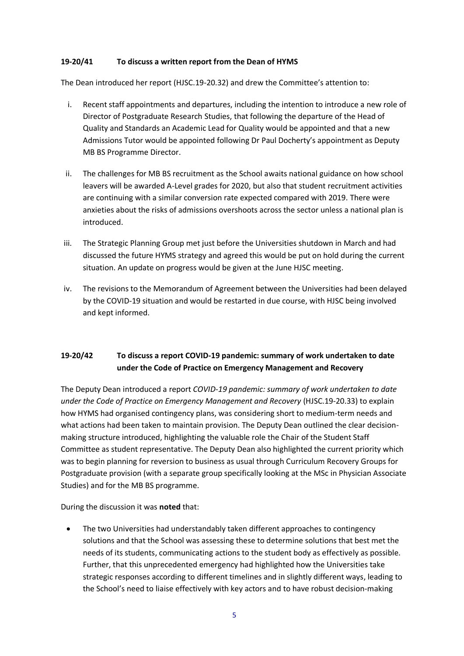### **19-20/41 To discuss a written report from the Dean of HYMS**

The Dean introduced her report (HJSC.19-20.32) and drew the Committee's attention to:

- i. Recent staff appointments and departures, including the intention to introduce a new role of Director of Postgraduate Research Studies, that following the departure of the Head of Quality and Standards an Academic Lead for Quality would be appointed and that a new Admissions Tutor would be appointed following Dr Paul Docherty's appointment as Deputy MB BS Programme Director.
- ii. The challenges for MB BS recruitment as the School awaits national guidance on how school leavers will be awarded A-Level grades for 2020, but also that student recruitment activities are continuing with a similar conversion rate expected compared with 2019. There were anxieties about the risks of admissions overshoots across the sector unless a national plan is introduced.
- iii. The Strategic Planning Group met just before the Universities shutdown in March and had discussed the future HYMS strategy and agreed this would be put on hold during the current situation. An update on progress would be given at the June HJSC meeting.
- iv. The revisions to the Memorandum of Agreement between the Universities had been delayed by the COVID-19 situation and would be restarted in due course, with HJSC being involved and kept informed.

# **19-20/42 To discuss a report COVID-19 pandemic: summary of work undertaken to date under the Code of Practice on Emergency Management and Recovery**

The Deputy Dean introduced a report *COVID-19 pandemic: summary of work undertaken to date under the Code of Practice on Emergency Management and Recovery* (HJSC.19-20.33) to explain how HYMS had organised contingency plans, was considering short to medium-term needs and what actions had been taken to maintain provision. The Deputy Dean outlined the clear decisionmaking structure introduced, highlighting the valuable role the Chair of the Student Staff Committee as student representative. The Deputy Dean also highlighted the current priority which was to begin planning for reversion to business as usual through Curriculum Recovery Groups for Postgraduate provision (with a separate group specifically looking at the MSc in Physician Associate Studies) and for the MB BS programme.

During the discussion it was **noted** that:

• The two Universities had understandably taken different approaches to contingency solutions and that the School was assessing these to determine solutions that best met the needs of its students, communicating actions to the student body as effectively as possible. Further, that this unprecedented emergency had highlighted how the Universities take strategic responses according to different timelines and in slightly different ways, leading to the School's need to liaise effectively with key actors and to have robust decision-making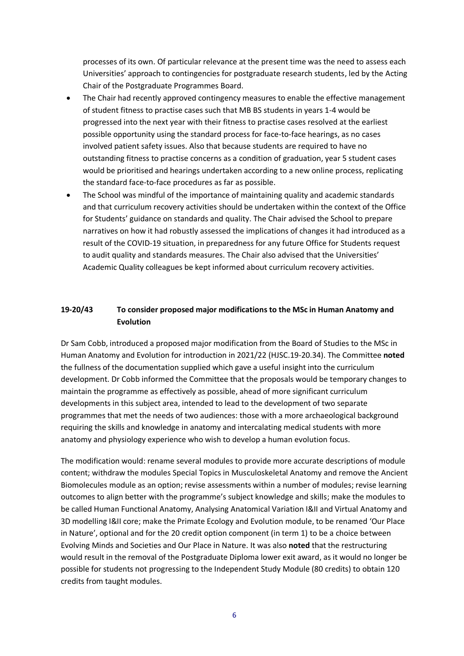processes of its own. Of particular relevance at the present time was the need to assess each Universities' approach to contingencies for postgraduate research students, led by the Acting Chair of the Postgraduate Programmes Board.

- The Chair had recently approved contingency measures to enable the effective management of student fitness to practise cases such that MB BS students in years 1-4 would be progressed into the next year with their fitness to practise cases resolved at the earliest possible opportunity using the standard process for face-to-face hearings, as no cases involved patient safety issues. Also that because students are required to have no outstanding fitness to practise concerns as a condition of graduation, year 5 student cases would be prioritised and hearings undertaken according to a new online process, replicating the standard face-to-face procedures as far as possible.
- The School was mindful of the importance of maintaining quality and academic standards and that curriculum recovery activities should be undertaken within the context of the Office for Students' guidance on standards and quality. The Chair advised the School to prepare narratives on how it had robustly assessed the implications of changes it had introduced as a result of the COVID-19 situation, in preparedness for any future Office for Students request to audit quality and standards measures. The Chair also advised that the Universities' Academic Quality colleagues be kept informed about curriculum recovery activities.

# **19-20/43 To consider proposed major modifications to the MSc in Human Anatomy and Evolution**

Dr Sam Cobb, introduced a proposed major modification from the Board of Studies to the MSc in Human Anatomy and Evolution for introduction in 2021/22 (HJSC.19-20.34). The Committee **noted**  the fullness of the documentation supplied which gave a useful insight into the curriculum development. Dr Cobb informed the Committee that the proposals would be temporary changes to maintain the programme as effectively as possible, ahead of more significant curriculum developments in this subject area, intended to lead to the development of two separate programmes that met the needs of two audiences: those with a more archaeological background requiring the skills and knowledge in anatomy and intercalating medical students with more anatomy and physiology experience who wish to develop a human evolution focus.

The modification would: rename several modules to provide more accurate descriptions of module content; withdraw the modules Special Topics in Musculoskeletal Anatomy and remove the Ancient Biomolecules module as an option; revise assessments within a number of modules; revise learning outcomes to align better with the programme's subject knowledge and skills; make the modules to be called Human Functional Anatomy, Analysing Anatomical Variation I&II and Virtual Anatomy and 3D modelling I&II core; make the Primate Ecology and Evolution module, to be renamed 'Our Place in Nature', optional and for the 20 credit option component (in term 1) to be a choice between Evolving Minds and Societies and Our Place in Nature. It was also **noted** that the restructuring would result in the removal of the Postgraduate Diploma lower exit award, as it would no longer be possible for students not progressing to the Independent Study Module (80 credits) to obtain 120 credits from taught modules.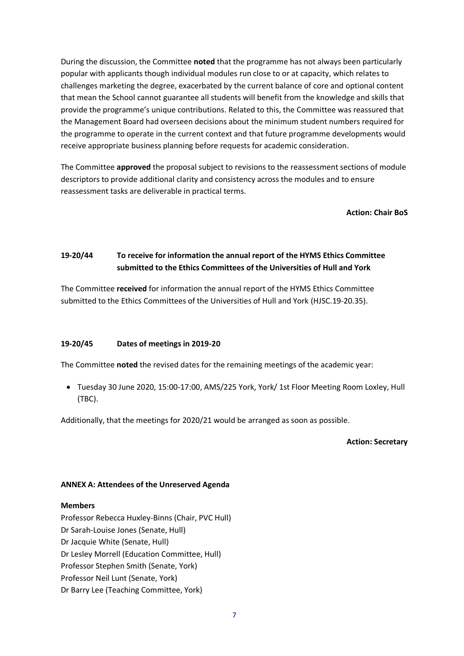During the discussion, the Committee **noted** that the programme has not always been particularly popular with applicants though individual modules run close to or at capacity, which relates to challenges marketing the degree, exacerbated by the current balance of core and optional content that mean the School cannot guarantee all students will benefit from the knowledge and skills that provide the programme's unique contributions. Related to this, the Committee was reassured that the Management Board had overseen decisions about the minimum student numbers required for the programme to operate in the current context and that future programme developments would receive appropriate business planning before requests for academic consideration.

The Committee **approved** the proposal subject to revisions to the reassessment sections of module descriptors to provide additional clarity and consistency across the modules and to ensure reassessment tasks are deliverable in practical terms.

**Action: Chair BoS**

# **19-20/44 To receive for information the annual report of the HYMS Ethics Committee submitted to the Ethics Committees of the Universities of Hull and York**

The Committee **received** for information the annual report of the HYMS Ethics Committee submitted to the Ethics Committees of the Universities of Hull and York (HJSC.19-20.35).

# **19-20/45 Dates of meetings in 2019-20**

The Committee **noted** the revised dates for the remaining meetings of the academic year:

• Tuesday 30 June 2020, 15:00-17:00, AMS/225 York, York/ 1st Floor Meeting Room Loxley, Hull (TBC).

Additionally, that the meetings for 2020/21 would be arranged as soon as possible.

#### **Action: Secretary**

#### **ANNEX A: Attendees of the Unreserved Agenda**

#### **Members**

Professor Rebecca Huxley-Binns (Chair, PVC Hull) Dr Sarah-Louise Jones (Senate, Hull) Dr Jacquie White (Senate, Hull) Dr Lesley Morrell (Education Committee, Hull) Professor Stephen Smith (Senate, York) Professor Neil Lunt (Senate, York) Dr Barry Lee (Teaching Committee, York)